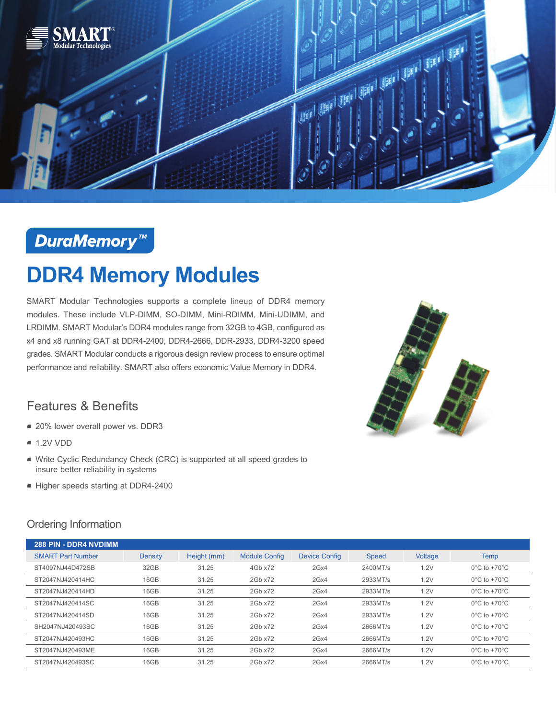

## **DuraMemory™**

# **DDR4 Memory Modules**

SMART Modular Technologies supports a complete lineup of DDR4 memory modules. These include VLP-DIMM, SO-DIMM, Mini-RDIMM, Mini-UDIMM, and LRDIMM. SMART Modular's DDR4 modules range from 32GB to 4GB, configured as x4 and x8 running GAT at DDR4-2400, DDR4-2666, DDR-2933, DDR4-3200 speed grades. SMART Modular conducts a rigorous design review process to ensure optimal performance and reliability. SMART also offers economic Value Memory in DDR4.

#### Features & Benefits

- 20% lower overall power vs. DDR3
- $-1.2V$  VDD
- Write Cyclic Redundancy Check (CRC) is supported at all speed grades to insure better reliability in systems
- Higher speeds starting at DDR4-2400



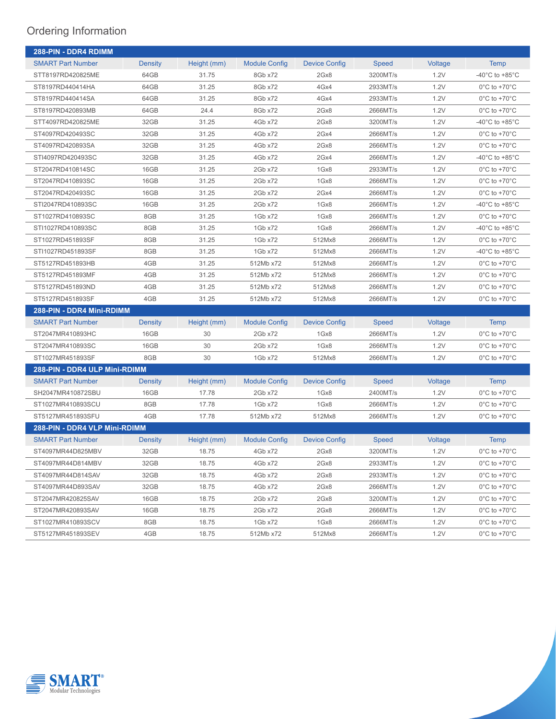| 288-PIN - DDR4 RDIMM          |                |             |                      |                      |              |         |                                      |  |
|-------------------------------|----------------|-------------|----------------------|----------------------|--------------|---------|--------------------------------------|--|
| <b>SMART Part Number</b>      | <b>Density</b> | Height (mm) | <b>Module Config</b> | <b>Device Config</b> | <b>Speed</b> | Voltage | <b>Temp</b>                          |  |
| STT8197RD420825ME             | 64GB           | 31.75       | 8Gb x72              | 2Gx8                 | 3200MT/s     | 1.2V    | -40 $^{\circ}$ C to +85 $^{\circ}$ C |  |
| ST8197RD440414HA              | 64GB           | 31.25       | 8Gb x72              | 4Gx4                 | 2933MT/s     | 1.2V    | $0^{\circ}$ C to +70 $^{\circ}$ C    |  |
| ST8197RD440414SA              | 64GB           | 31.25       | 8Gb x72              | 4Gx4                 | 2933MT/s     | 1.2V    | $0^{\circ}$ C to +70 $^{\circ}$ C    |  |
| ST8197RD420893MB              | 64GB           | 24.4        | 8Gb x72              | 2Gx8                 | 2666MT/s     | 1.2V    | $0^{\circ}$ C to +70 $^{\circ}$ C    |  |
| STT4097RD420825ME             | 32GB           | 31.25       | 4Gb x72              | 2Gx8                 | 3200MT/s     | 1.2V    | -40 $^{\circ}$ C to +85 $^{\circ}$ C |  |
| ST4097RD420493SC              | 32GB           | 31.25       | 4Gb x72              | 2Gx4                 | 2666MT/s     | 1.2V    | $0^{\circ}$ C to +70 $^{\circ}$ C    |  |
| ST4097RD420893SA              | 32GB           | 31.25       | 4Gb x72              | 2Gx8                 | 2666MT/s     | 1.2V    | $0^{\circ}$ C to +70 $^{\circ}$ C    |  |
| STI4097RD420493SC             | 32GB           | 31.25       | 4Gb x72              | 2Gx4                 | 2666MT/s     | 1.2V    | -40 $^{\circ}$ C to +85 $^{\circ}$ C |  |
| ST2047RD410814SC              | 16GB           | 31.25       | 2Gb x72              | 1Gx8                 | 2933MT/s     | 1.2V    | $0^{\circ}$ C to +70 $^{\circ}$ C    |  |
| ST2047RD410893SC              | 16GB           | 31.25       | 2Gb x72              | 1Gx8                 | 2666MT/s     | 1.2V    | $0^{\circ}$ C to +70 $^{\circ}$ C    |  |
| ST2047RD420493SC              | 16GB           | 31.25       | 2Gb x72              | 2Gx4                 | 2666MT/s     | 1.2V    | $0^{\circ}$ C to +70 $^{\circ}$ C    |  |
| STI2047RD410893SC             | 16GB           | 31.25       | 2Gb x72              | 1Gx8                 | 2666MT/s     | 1.2V    | -40 $^{\circ}$ C to +85 $^{\circ}$ C |  |
| ST1027RD410893SC              | 8GB            | 31.25       | 1Gb x72              | 1Gx8                 | 2666MT/s     | 1.2V    | $0^{\circ}$ C to +70 $^{\circ}$ C    |  |
| STI1027RD410893SC             | 8GB            | 31.25       | 1Gb x72              | 1Gx8                 | 2666MT/s     | 1.2V    | -40 $^{\circ}$ C to +85 $^{\circ}$ C |  |
| ST1027RD451893SF              | 8GB            | 31.25       | 1Gb x72              | 512Mx8               | 2666MT/s     | 1.2V    | $0^{\circ}$ C to +70 $^{\circ}$ C    |  |
| STI1027RD451893SF             | 8GB            | 31.25       | 1Gb x72              | 512Mx8               | 2666MT/s     | 1.2V    | -40 $^{\circ}$ C to +85 $^{\circ}$ C |  |
| ST5127RD451893HB              | 4GB            | 31.25       | 512Mb x72            | 512Mx8               | 2666MT/s     | 1.2V    | $0^{\circ}$ C to +70 $^{\circ}$ C    |  |
| ST5127RD451893MF              | 4GB            | 31.25       | 512Mb x72            | 512Mx8               | 2666MT/s     | 1.2V    | $0^{\circ}$ C to +70 $^{\circ}$ C    |  |
| ST5127RD451893ND              | 4GB            | 31.25       | 512Mb x72            | 512Mx8               | 2666MT/s     | 1.2V    | $0^{\circ}$ C to +70 $^{\circ}$ C    |  |
| ST5127RD451893SF              | 4GB            | 31.25       | 512Mb x72            | 512Mx8               | 2666MT/s     | 1.2V    | $0^{\circ}$ C to +70 $^{\circ}$ C    |  |
| 288-PIN - DDR4 Mini-RDIMM     |                |             |                      |                      |              |         |                                      |  |
| <b>SMART Part Number</b>      | Density        | Height (mm) | <b>Module Config</b> | <b>Device Config</b> | <b>Speed</b> | Voltage | <b>Temp</b>                          |  |
| ST2047MR410893HC              | 16GB           | 30          | 2Gb x72              | 1Gx8                 | 2666MT/s     | 1.2V    | $0^{\circ}$ C to +70 $^{\circ}$ C    |  |
| ST2047MR410893SC              | 16GB           | 30          | 2Gb x72              | 1Gx8                 | 2666MT/s     | 1.2V    | $0^{\circ}$ C to +70 $^{\circ}$ C    |  |
| ST1027MR451893SF              | 8GB            | 30          | 1Gb x72              | 512Mx8               | 2666MT/s     | 1.2V    | $0^{\circ}$ C to +70 $^{\circ}$ C    |  |
| 288-PIN - DDR4 ULP Mini-RDIMM |                |             |                      |                      |              |         |                                      |  |
| <b>SMART Part Number</b>      | <b>Density</b> | Height (mm) | <b>Module Config</b> | <b>Device Config</b> | Speed        | Voltage | <b>Temp</b>                          |  |
| SH2047MR410872SBU             | 16GB           | 17.78       | 2Gb x72              | 1Gx8                 | 2400MT/s     | 1.2V    | $0^{\circ}$ C to +70 $^{\circ}$ C    |  |
| ST1027MR410893SCU             | 8GB            | 17.78       | 1Gb x72              | 1Gx8                 | 2666MT/s     | 1.2V    | $0^{\circ}$ C to +70 $^{\circ}$ C    |  |
| ST5127MR451893SFU             | 4GB            | 17.78       | 512Mb x72            | 512Mx8               | 2666MT/s     | 1.2V    | $0^{\circ}$ C to +70 $^{\circ}$ C    |  |
| 288-PIN - DDR4 VLP Mini-RDIMM |                |             |                      |                      |              |         |                                      |  |
| <b>SMART Part Number</b>      | Density        | Height (mm) | <b>Module Config</b> | Device Config        | <b>Speed</b> | Voltage | <b>Temp</b>                          |  |
| ST4097MR44D825MBV             | 32GB           | 18.75       | 4Gb x72              | 2Gx8                 | 3200MT/s     | 1.2V    | $0^{\circ}$ C to +70 $^{\circ}$ C    |  |
| ST4097MR44D814MBV             | 32GB           | 18.75       | 4Gb x72              | 2Gx8                 | 2933MT/s     | 1.2V    | $0^{\circ}$ C to +70 $^{\circ}$ C    |  |
| ST4097MR44D814SAV             | 32GB           | 18.75       | 4Gb x72              | 2Gx8                 | 2933MT/s     | 1.2V    | $0^{\circ}$ C to +70 $^{\circ}$ C    |  |
| ST4097MR44D893SAV             | 32GB           | 18.75       | 4Gb x72              | 2Gx8                 | 2666MT/s     | 1.2V    | $0^{\circ}$ C to +70 $^{\circ}$ C    |  |
| ST2047MR420825SAV             | 16GB           | 18.75       | 2Gb x72              | 2Gx8                 | 3200MT/s     | 1.2V    | $0^{\circ}$ C to +70 $^{\circ}$ C    |  |
| ST2047MR420893SAV             | 16GB           | 18.75       | 2Gb x72              | 2Gx8                 | 2666MT/s     | 1.2V    | $0^{\circ}$ C to +70 $^{\circ}$ C    |  |
| ST1027MR410893SCV             | 8GB            | 18.75       | 1Gb x72              | 1Gx8                 | 2666MT/s     | 1.2V    | $0^{\circ}$ C to +70 $^{\circ}$ C    |  |
| ST5127MR451893SEV             | 4GB            | 18.75       | 512Mb x72            | 512Mx8               | 2666MT/s     | 1.2V    | $0^{\circ}$ C to +70 $^{\circ}$ C    |  |

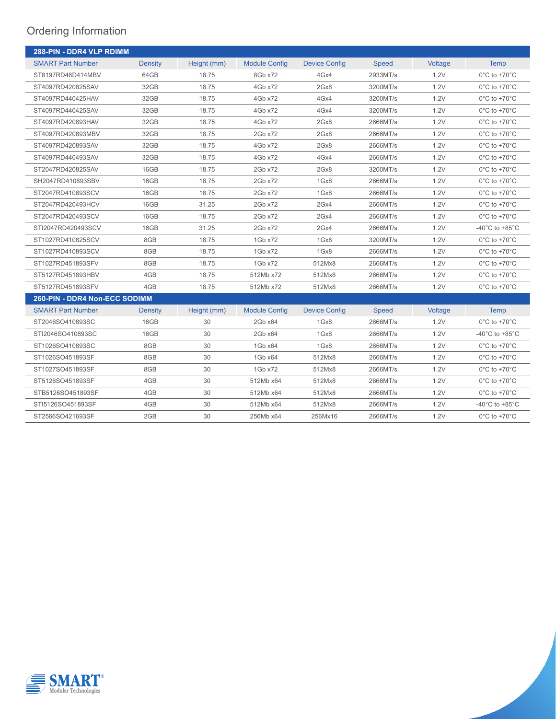| 288-PIN - DDR4 VLP RDIMM      |                |             |                      |                      |          |         |                                      |  |
|-------------------------------|----------------|-------------|----------------------|----------------------|----------|---------|--------------------------------------|--|
| <b>SMART Part Number</b>      | <b>Density</b> | Height (mm) | <b>Module Config</b> | <b>Device Config</b> | Speed    | Voltage | <b>Temp</b>                          |  |
| ST8197RD48D414MBV             | 64GB           | 18.75       | 8Gb x72              | 4Gx4                 | 2933MT/s | 1.2V    | $0^{\circ}$ C to +70 $^{\circ}$ C    |  |
| ST4097RD420825SAV             | 32GB           | 18.75       | 4Gb x72              | 2Gx8                 | 3200MT/s | 1.2V    | $0^{\circ}$ C to +70 $^{\circ}$ C    |  |
| ST4097RD440425HAV             | 32GB           | 18.75       | 4Gb x72              | 4Gx4                 | 3200MT/s | 1.2V    | $0^{\circ}$ C to +70 $^{\circ}$ C    |  |
| ST4097RD440425SAV             | 32GB           | 18.75       | 4Gb x72              | 4Gx4                 | 3200MT/s | 1.2V    | $0^{\circ}$ C to +70 $^{\circ}$ C    |  |
| ST4097RD420893HAV             | 32GB           | 18.75       | 4Gb x72              | 2Gx8                 | 2666MT/s | 1.2V    | $0^{\circ}$ C to +70 $^{\circ}$ C    |  |
| ST4097RD420893MBV             | 32GB           | 18.75       | 2Gb x72              | 2Gx8                 | 2666MT/s | 1.2V    | $0^{\circ}$ C to +70 $^{\circ}$ C    |  |
| ST4097RD420893SAV             | 32GB           | 18.75       | 4Gb x72              | 2Gx8                 | 2666MT/s | 1.2V    | $0^{\circ}$ C to +70 $^{\circ}$ C    |  |
| ST4097RD440493SAV             | 32GB           | 18.75       | 4Gb x72              | 4Gx4                 | 2666MT/s | 1.2V    | $0^{\circ}$ C to +70 $^{\circ}$ C    |  |
| ST2047RD420825SAV             | 16GB           | 18.75       | 2Gb x72              | 2Gx8                 | 3200MT/s | 1.2V    | $0^{\circ}$ C to +70 $^{\circ}$ C    |  |
| SH2047RD410893SBV             | 16GB           | 18.75       | 2Gb x72              | 1Gx8                 | 2666MT/s | 1.2V    | $0^{\circ}$ C to +70 $^{\circ}$ C    |  |
| ST2047RD410893SCV             | 16GB           | 18.75       | 2Gb x72              | 1Gx8                 | 2666MT/s | 1.2V    | $0^{\circ}$ C to +70 $^{\circ}$ C    |  |
| ST2047RD420493HCV             | 16GB           | 31.25       | 2Gb x72              | 2Gx4                 | 2666MT/s | 1.2V    | $0^{\circ}$ C to +70 $^{\circ}$ C    |  |
| ST2047RD420493SCV             | 16GB           | 18.75       | 2Gb x72              | 2Gx4                 | 2666MT/s | 1.2V    | $0^{\circ}$ C to +70 $^{\circ}$ C    |  |
| STI2047RD420493SCV            | 16GB           | 31.25       | 2Gb x72              | 2Gx4                 | 2666MT/s | 1.2V    | -40 $^{\circ}$ C to +85 $^{\circ}$ C |  |
| ST1027RD410825SCV             | 8GB            | 18.75       | 1Gb x72              | 1Gx8                 | 3200MT/s | 1.2V    | $0^{\circ}$ C to +70 $^{\circ}$ C    |  |
| ST1027RD410893SCV             | 8GB            | 18.75       | 1Gb x72              | 1Gx8                 | 2666MT/s | 1.2V    | $0^{\circ}$ C to +70 $^{\circ}$ C    |  |
| ST1027RD451893SFV             | 8GB            | 18.75       | 1Gb x72              | 512Mx8               | 2666MT/s | 1.2V    | $0^{\circ}$ C to +70 $^{\circ}$ C    |  |
| ST5127RD451893HBV             | 4GB            | 18.75       | 512Mb x72            | 512Mx8               | 2666MT/s | 1.2V    | $0^{\circ}$ C to +70 $^{\circ}$ C    |  |
| ST5127RD451893SFV             | 4GB            | 18.75       | 512Mb x72            | 512Mx8               | 2666MT/s | 1.2V    | $0^{\circ}$ C to +70 $^{\circ}$ C    |  |
| 260-PIN - DDR4 Non-ECC SODIMM |                |             |                      |                      |          |         |                                      |  |
| <b>SMART Part Number</b>      | <b>Density</b> | Height (mm) | <b>Module Config</b> | <b>Device Config</b> | Speed    | Voltage | <b>Temp</b>                          |  |
| ST2046SO410893SC              | 16GB           | 30          | 2Gb x64              | 1Gx8                 | 2666MT/s | 1.2V    | $0^{\circ}$ C to +70 $^{\circ}$ C    |  |
| STI2046SO410893SC             | 16GB           | 30          | 2Gb x64              | 1Gx8                 | 2666MT/s | 1.2V    | -40 $^{\circ}$ C to +85 $^{\circ}$ C |  |
| ST1026SO410893SC              | 8GB            | 30          | 1Gb x64              | 1Gx8                 | 2666MT/s | 1.2V    | $0^{\circ}$ C to +70 $^{\circ}$ C    |  |
| ST1026SO451893SF              | 8GB            | 30          | 1Gb x64              | 512Mx8               | 2666MT/s | 1.2V    | $0^{\circ}$ C to +70 $^{\circ}$ C    |  |
| ST1027SO451893SF              | 8GB            | 30          | 1Gb x72              | 512Mx8               | 2666MT/s | 1.2V    | $0^{\circ}$ C to +70 $^{\circ}$ C    |  |
| ST5126SO451893SF              | 4GB            | 30          | 512Mb x64            | 512Mx8               | 2666MT/s | 1.2V    | $0^{\circ}$ C to +70 $^{\circ}$ C    |  |
| STB5126SO451893SF             | 4GB            | 30          | 512Mb x64            | 512Mx8               | 2666MT/s | 1.2V    | $0^{\circ}$ C to +70 $^{\circ}$ C    |  |
| STI5126SO451893SF             | 4GB            | 30          | 512Mb x64            | 512Mx8               | 2666MT/s | 1.2V    | -40 $^{\circ}$ C to +85 $^{\circ}$ C |  |
| ST2566SO421693SF              | 2GB            | 30          | 256Mb x64            | 256Mx16              | 2666MT/s | 1.2V    | $0^{\circ}$ C to +70 $^{\circ}$ C    |  |



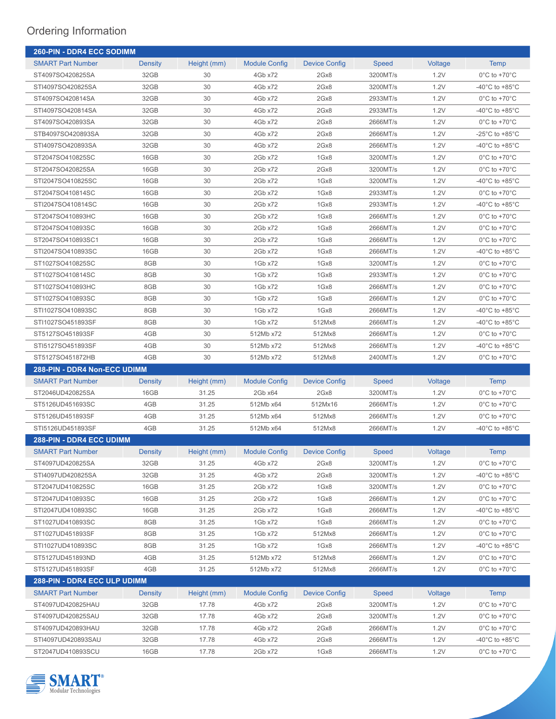| <b>260-PIN - DDR4 ECC SODIMM</b>    |                |             |                      |                      |              |         |                                      |  |
|-------------------------------------|----------------|-------------|----------------------|----------------------|--------------|---------|--------------------------------------|--|
| <b>SMART Part Number</b>            | <b>Density</b> | Height (mm) | <b>Module Config</b> | <b>Device Config</b> | <b>Speed</b> | Voltage | <b>Temp</b>                          |  |
| ST4097SO420825SA                    | 32GB           | 30          | 4Gb x72              | 2Gx8                 | 3200MT/s     | 1.2V    | $0^{\circ}$ C to +70 $^{\circ}$ C    |  |
| STI4097SO420825SA                   | 32GB           | 30          | 4Gb x72              | 2Gx8                 | 3200MT/s     | 1.2V    | -40°C to +85°C                       |  |
| ST4097SO420814SA                    | 32GB           | 30          | 4Gb x72              | 2Gx8                 | 2933MT/s     | 1.2V    | $0^{\circ}$ C to +70 $^{\circ}$ C    |  |
| STI4097SO420814SA                   | 32GB           | 30          | 4Gb x72              | 2Gx8                 | 2933MT/s     | 1.2V    | -40°C to +85°C                       |  |
| ST4097SO420893SA                    | 32GB           | 30          | 4Gb x72              | 2Gx8                 | 2666MT/s     | 1.2V    | $0^{\circ}$ C to +70 $^{\circ}$ C    |  |
| STB4097SO420893SA                   | 32GB           | 30          | 4Gb x72              | 2Gx8                 | 2666MT/s     | 1.2V    | -25°C to +85°C                       |  |
| STI4097SO420893SA                   | 32GB           | 30          | 4Gb x72              | 2Gx8                 | 2666MT/s     | 1.2V    | -40°C to +85°C                       |  |
| ST2047SO410825SC                    | 16GB           | 30          | 2Gb x72              | 1Gx8                 | 3200MT/s     | 1.2V    | $0^{\circ}$ C to +70 $^{\circ}$ C    |  |
| ST2047SO420825SA                    | 16GB           | 30          | 2Gb x72              | 2Gx8                 | 3200MT/s     | 1.2V    | $0^{\circ}$ C to +70 $^{\circ}$ C    |  |
| STI2047SO410825SC                   | 16GB           | 30          | 2Gb x72              | 1Gx8                 | 3200MT/s     | 1.2V    | -40°C to +85°C                       |  |
| ST2047SO410814SC                    | 16GB           | 30          | 2Gb x72              | 1Gx8                 | 2933MT/s     | 1.2V    | $0^{\circ}$ C to +70 $^{\circ}$ C    |  |
| STI2047SO410814SC                   | 16GB           | 30          | 2Gb x72              | 1Gx8                 | 2933MT/s     | 1.2V    | -40°C to +85°C                       |  |
| ST2047SO410893HC                    | 16GB           | 30          | 2Gb x72              | 1Gx8                 | 2666MT/s     | 1.2V    | $0^{\circ}$ C to +70 $^{\circ}$ C    |  |
| ST2047SO410893SC                    | 16GB           | 30          | 2Gb x72              | 1Gx8                 | 2666MT/s     | 1.2V    | $0^{\circ}$ C to +70 $^{\circ}$ C    |  |
| ST2047SO410893SC1                   | 16GB           | 30          | 2Gb x72              | 1Gx8                 | 2666MT/s     | 1.2V    | $0^{\circ}$ C to +70 $^{\circ}$ C    |  |
| STI2047SO410893SC                   | 16GB           | 30          | 2Gb x72              | 1Gx8                 | 2666MT/s     | 1.2V    | -40°C to +85°C                       |  |
| ST1027SO410825SC                    | 8GB            | 30          | 1Gb x72              | 1Gx8                 | 3200MT/s     | 1.2V    | $0^{\circ}$ C to +70 $^{\circ}$ C    |  |
| ST1027SO410814SC                    | 8GB            | 30          | 1Gb x72              | 1Gx8                 | 2933MT/s     | 1.2V    | $0^{\circ}$ C to +70 $^{\circ}$ C    |  |
| ST1027SO410893HC                    | 8GB            | 30          | 1Gb x72              | 1Gx8                 | 2666MT/s     | 1.2V    | $0^{\circ}$ C to +70 $^{\circ}$ C    |  |
| ST1027SO410893SC                    | 8GB            | 30          | 1Gb x72              | 1Gx8                 | 2666MT/s     | 1.2V    | $0^{\circ}$ C to +70 $^{\circ}$ C    |  |
| STI1027SO410893SC                   | 8GB            | 30          | 1Gb x72              | 1Gx8                 | 2666MT/s     | 1.2V    | -40°C to +85°C                       |  |
| STI1027SO451893SF                   | 8GB            | 30          | 1Gb x72              | 512Mx8               | 2666MT/s     | 1.2V    | -40°C to +85°C                       |  |
| ST5127SO451893SF                    | 4GB            | 30          | 512Mb x72            | 512Mx8               | 2666MT/s     | 1.2V    | $0^{\circ}$ C to +70 $^{\circ}$ C    |  |
| STI5127SO451893SF                   | 4GB            | 30          | 512Mb x72            | 512Mx8               | 2666MT/s     | 1.2V    | $-40^{\circ}$ C to $+85^{\circ}$ C   |  |
| ST5127SO451872HB                    | 4GB            | 30          | 512Mb x72            | 512Mx8               | 2400MT/s     | 1.2V    | $0^{\circ}$ C to +70 $^{\circ}$ C    |  |
| <b>288-PIN - DDR4 Non-ECC UDIMM</b> |                |             |                      |                      |              |         |                                      |  |
| <b>SMART Part Number</b>            | <b>Density</b> | Height (mm) | <b>Module Config</b> | <b>Device Config</b> | Speed        | Voltage | Temp                                 |  |
| ST2046UD420825SA                    | 16GB           | 31.25       | 2Gb x64              | 2Gx8                 | 3200MT/s     | 1.2V    | $0^{\circ}$ C to +70 $^{\circ}$ C    |  |
| ST5126UD451693SC                    | 4GB            | 31.25       | 512Mb x64            | 512Mx16              | 2666MT/s     | 1.2V    | $0^{\circ}$ C to +70 $^{\circ}$ C    |  |
| ST5126UD451893SF                    | 4GB            | 31.25       | 512Mb x64            | 512Mx8               | 2666MT/s     | 1.2V    | $0^{\circ}$ C to +70 $^{\circ}$ C    |  |
| STI5126UD451893SF                   | 4GB            | 31.25       | 512Mb x64            | 512Mx8               | 2666MT/s     | 1.2V    | -40 $^{\circ}$ C to +85 $^{\circ}$ C |  |
| 288-PIN - DDR4 ECC UDIMM            |                |             |                      |                      |              |         |                                      |  |
| <b>SMART Part Number</b>            | <b>Density</b> | Height (mm) | <b>Module Config</b> | <b>Device Config</b> | <b>Speed</b> | Voltage | <b>Temp</b>                          |  |
| ST4097UD420825SA                    | 32GB           | 31.25       | 4Gb x72              | 2Gx8                 | 3200MT/s     | 1.2V    | $0^{\circ}$ C to +70 $^{\circ}$ C    |  |
| STI4097UD420825SA                   | 32GB           | 31.25       | 4Gb x72              | 2Gx8                 | 3200MT/s     | 1.2V    | $-40^{\circ}$ C to $+85^{\circ}$ C   |  |
| ST2047UD410825SC                    | 16GB           | 31.25       | 2Gb x72              | 1Gx8                 | 3200MT/s     | 1.2V    | $0^{\circ}$ C to +70 $^{\circ}$ C    |  |
| ST2047UD410893SC                    | 16GB           | 31.25       | 2Gb x72              | 1Gx8                 | 2666MT/s     | 1.2V    | $0^{\circ}$ C to +70 $^{\circ}$ C    |  |
| STI2047UD410893SC                   | 16GB           | 31.25       | 2Gb x72              | 1Gx8                 | 2666MT/s     | 1.2V    | -40°C to +85°C                       |  |
| ST1027UD410893SC                    | 8GB            | 31.25       | 1Gb x72              | 1Gx8                 | 2666MT/s     | 1.2V    | $0^{\circ}$ C to +70 $^{\circ}$ C    |  |
| ST1027UD451893SF                    | 8GB            | 31.25       | 1Gb x72              | 512Mx8               | 2666MT/s     | 1.2V    | $0^{\circ}$ C to +70 $^{\circ}$ C    |  |
| STI1027UD410893SC                   | 8GB            | 31.25       | 1Gb x72              | 1Gx8                 | 2666MT/s     | 1.2V    | -40 $^{\circ}$ C to +85 $^{\circ}$ C |  |
| ST5127UD451893ND                    | 4GB            | 31.25       | 512Mb x72            | 512Mx8               | 2666MT/s     | 1.2V    | $0^{\circ}$ C to +70 $^{\circ}$ C    |  |
| ST5127UD451893SF                    | 4GB            | 31.25       | 512Mb x72            | 512Mx8               | 2666MT/s     | 1.2V    | $0^{\circ}$ C to +70 $^{\circ}$ C    |  |
| <b>288-PIN - DDR4 ECC ULP UDIMM</b> |                |             |                      |                      |              |         |                                      |  |
| <b>SMART Part Number</b>            | <b>Density</b> | Height (mm) | <b>Module Config</b> | <b>Device Config</b> | <b>Speed</b> | Voltage | <b>Temp</b>                          |  |
| ST4097UD420825HAU                   | 32GB           | 17.78       | 4Gb x72              | 2Gx8                 | 3200MT/s     | 1.2V    | $0^{\circ}$ C to +70 $^{\circ}$ C    |  |
| ST4097UD420825SAU                   | 32GB           | 17.78       | 4Gb x72              | 2Gx8                 | 3200MT/s     | 1.2V    | $0^{\circ}$ C to +70 $^{\circ}$ C    |  |
| ST4097UD420893HAU                   | 32GB           | 17.78       | 4Gb x72              | 2Gx8                 | 2666MT/s     | 1.2V    | $0^{\circ}$ C to +70 $^{\circ}$ C    |  |
| STI4097UD420893SAU                  | 32GB           | 17.78       | 4Gb x72              | 2Gx8                 | 2666MT/s     | 1.2V    | -40°C to +85°C                       |  |
| ST2047UD410893SCU                   | 16GB           | 17.78       | 2Gb x72              | 1Gx8                 | 2666MT/s     | 1.2V    | $0^{\circ}$ C to +70 $^{\circ}$ C    |  |